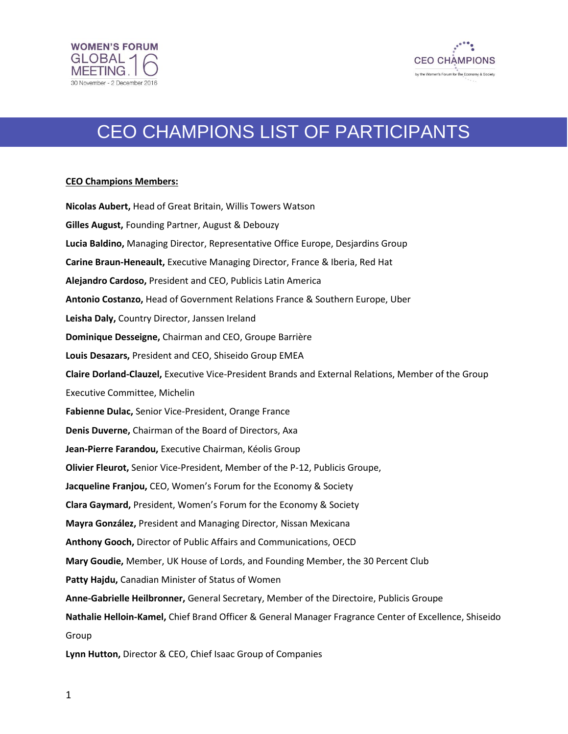



## CEO CHAMPIONS LIST OF PARTICIPANTS

## **CEO Champions Members:**

**Nicolas Aubert,** Head of Great Britain, Willis Towers Watson **Gilles August,** Founding Partner, August & Debouzy **Lucia Baldino,** Managing Director, Representative Office Europe, Desjardins Group **Carine Braun-Heneault,** Executive Managing Director, France & Iberia, Red Hat **Alejandro Cardoso,** President and CEO, Publicis Latin America **Antonio Costanzo,** Head of Government Relations France & Southern Europe, Uber **Leisha Daly,** Country Director, Janssen Ireland **Dominique Desseigne,** Chairman and CEO, Groupe Barrière **Louis Desazars,** President and CEO, Shiseido Group EMEA **Claire Dorland-Clauzel,** Executive Vice-President Brands and External Relations, Member of the Group Executive Committee, Michelin **Fabienne Dulac,** Senior Vice-President, Orange France **Denis Duverne,** Chairman of the Board of Directors, Axa **Jean-Pierre Farandou,** Executive Chairman, Kéolis Group **Olivier Fleurot,** Senior Vice-President, Member of the P-12, Publicis Groupe, **Jacqueline Franjou,** CEO, Women's Forum for the Economy & Society **Clara Gaymard,** President, Women's Forum for the Economy & Society **Mayra González,** President and Managing Director, Nissan Mexicana **Anthony Gooch,** Director of Public Affairs and Communications, OECD **Mary Goudie,** Member, UK House of Lords, and Founding Member, the 30 Percent Club **Patty Hajdu,** Canadian Minister of Status of Women **Anne-Gabrielle Heilbronner,** General Secretary, Member of the Directoire, Publicis Groupe **Nathalie Helloin-Kamel,** Chief Brand Officer & General Manager Fragrance Center of Excellence, Shiseido Group **Lynn Hutton,** Director & CEO, Chief Isaac Group of Companies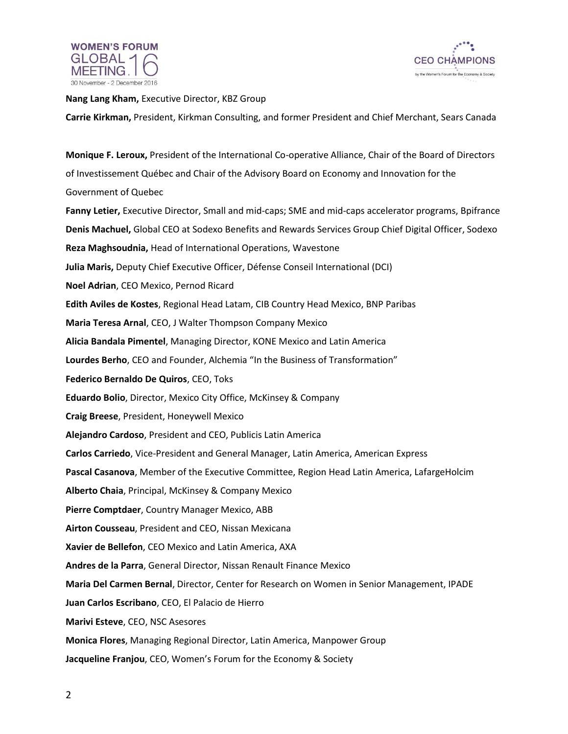



**Nang Lang Kham,** Executive Director, KBZ Group

**Carrie Kirkman,** President, Kirkman Consulting, and former President and Chief Merchant, Sears Canada

**Monique F. Leroux,** President of the International Co-operative Alliance, Chair of the Board of Directors of Investissement Québec and Chair of the Advisory Board on Economy and Innovation for the Government of Quebec **Fanny Letier,** Executive Director, Small and mid-caps; SME and mid-caps accelerator programs, Bpifrance **Denis Machuel,** Global CEO at Sodexo Benefits and Rewards Services Group Chief Digital Officer, Sodexo **Reza Maghsoudnia,** Head of International Operations, Wavestone **Julia Maris,** Deputy Chief Executive Officer, Défense Conseil International (DCI) **Noel Adrian**, CEO Mexico, Pernod Ricard **Edith Aviles de Kostes**, Regional Head Latam, CIB Country Head Mexico, BNP Paribas **Maria Teresa Arnal**, CEO, J Walter Thompson Company Mexico **Alicia Bandala Pimentel**, Managing Director, KONE Mexico and Latin America **Lourdes Berho**, CEO and Founder, Alchemia "In the Business of Transformation" **Federico Bernaldo De Quiros**, CEO, Toks **Eduardo Bolio**, Director, Mexico City Office, McKinsey & Company **Craig Breese**, President, Honeywell Mexico **Alejandro Cardoso**, President and CEO, Publicis Latin America **Carlos Carriedo**, Vice-President and General Manager, Latin America, American Express **Pascal Casanova**, Member of the Executive Committee, Region Head Latin America, LafargeHolcim **Alberto Chaia**, Principal, McKinsey & Company Mexico **Pierre Comptdaer**, Country Manager Mexico, ABB **Airton Cousseau**, President and CEO, Nissan Mexicana **Xavier de Bellefon**, CEO Mexico and Latin America, AXA **Andres de la Parra**, General Director, Nissan Renault Finance Mexico **Maria Del Carmen Bernal**, Director, Center for Research on Women in Senior Management, IPADE **Juan Carlos Escribano**, CEO, El Palacio de Hierro **Marivi Esteve**, CEO, NSC Asesores **Monica Flores**, Managing Regional Director, Latin America, Manpower Group **Jacqueline Franjou**, CEO, Women's Forum for the Economy & Society